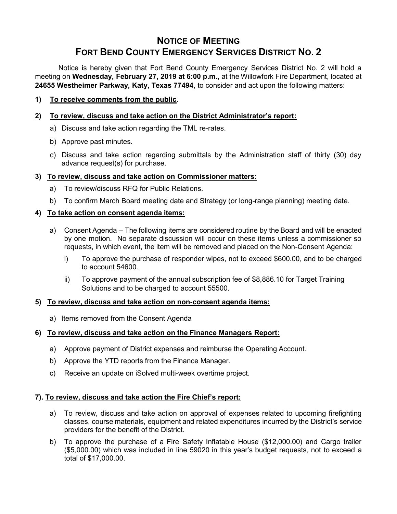# **NOTICE OF MEETING FORT BEND COUNTY EMERGENCY SERVICES DISTRICT NO. 2**

Notice is hereby given that Fort Bend County Emergency Services District No. 2 will hold a meeting on **Wednesday, February 27, 2019 at 6:00 p.m.,** at the Willowfork Fire Department, located at **24655 Westheimer Parkway, Katy, Texas 77494**, to consider and act upon the following matters:

# **1) To receive comments from the public**.

# **2) To review, discuss and take action on the District Administrator's report:**

- a) Discuss and take action regarding the TML re-rates.
- b) Approve past minutes.
- c) Discuss and take action regarding submittals by the Administration staff of thirty (30) day advance request(s) for purchase.

### **3) To review, discuss and take action on Commissioner matters:**

- a) To review/discuss RFQ for Public Relations.
- b) To confirm March Board meeting date and Strategy (or long-range planning) meeting date.

# **4) To take action on consent agenda items:**

- a) Consent Agenda The following items are considered routine by the Board and will be enacted by one motion. No separate discussion will occur on these items unless a commissioner so requests, in which event, the item will be removed and placed on the Non-Consent Agenda:
	- i) To approve the purchase of responder wipes, not to exceed \$600.00, and to be charged to account 54600.
	- ii) To approve payment of the annual subscription fee of \$8,886.10 for Target Training Solutions and to be charged to account 55500.

#### **5) To review, discuss and take action on non-consent agenda items:**

a) Items removed from the Consent Agenda

#### **6) To review, discuss and take action on the Finance Managers Report:**

- a) Approve payment of District expenses and reimburse the Operating Account.
- b) Approve the YTD reports from the Finance Manager.
- c) Receive an update on iSolved multi-week overtime project.

#### **7). To review, discuss and take action the Fire Chief's report:**

- a) To review, discuss and take action on approval of expenses related to upcoming firefighting classes, course materials, equipment and related expenditures incurred by the District's service providers for the benefit of the District.
- b) To approve the purchase of a Fire Safety Inflatable House (\$12,000.00) and Cargo trailer (\$5,000.00) which was included in line 59020 in this year's budget requests, not to exceed a total of \$17,000.00.